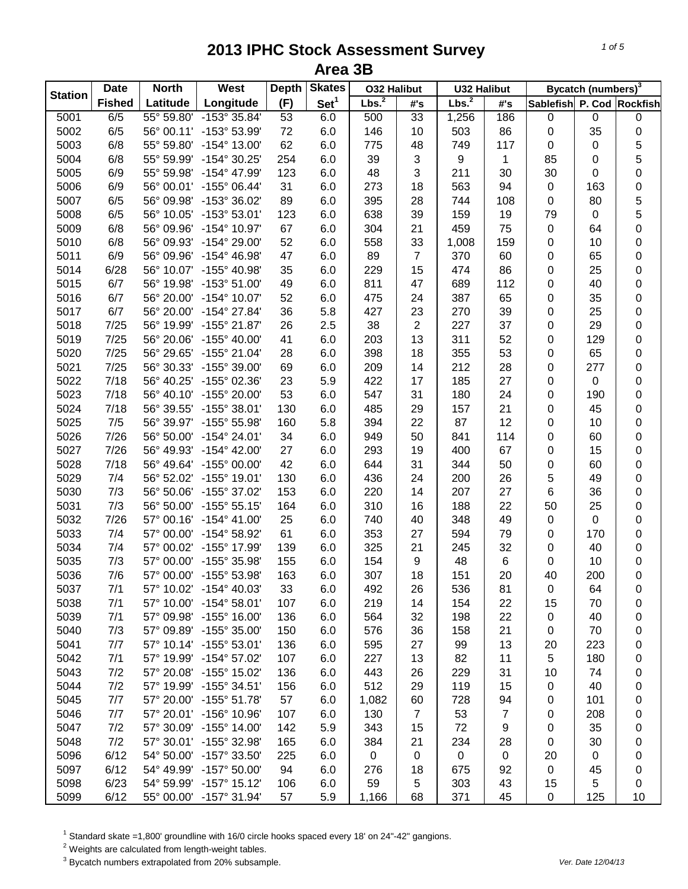| <b>Station</b> | <b>Date</b>   | <b>North</b> | West                    | <b>Depth</b> | <b>Skates</b>    | <b>032 Halibut</b> |                | <b>U32 Halibut</b> |                  |             | Bycatch (numbers) <sup>3</sup> |                           |
|----------------|---------------|--------------|-------------------------|--------------|------------------|--------------------|----------------|--------------------|------------------|-------------|--------------------------------|---------------------------|
|                | <b>Fished</b> | Latitude     | Longitude               | (F)          | Set <sup>1</sup> | Lbs. <sup>2</sup>  | #'s            | Lbs. <sup>2</sup>  | #'s              |             |                                | Sablefish P. Cod Rockfish |
| 5001           | 6/5           | 55° 59.80'   | $-153^{\circ}35.84'$    | 53           | 6.0              | 500                | 33             | 1,256              | 186              | 0           | $\mathsf 0$                    | 0                         |
| 5002           | 6/5           | 56° 00.11'   | -153° 53.99'            | 72           | 6.0              | 146                | 10             | 503                | 86               | $\mathbf 0$ | 35                             | 0                         |
| 5003           | 6/8           | 55° 59.80'   | -154° 13.00'            | 62           | 6.0              | 775                | 48             | 749                | 117              | $\pmb{0}$   | $\pmb{0}$                      | 5                         |
| 5004           | 6/8           | 55° 59.99'   | -154° 30.25'            | 254          | 6.0              | 39                 | 3              | 9                  | $\mathbf{1}$     | 85          | 0                              | 5                         |
| 5005           | 6/9           | 55° 59.98'   | -154° 47.99'            | 123          | 6.0              | 48                 | 3              | 211                | 30               | 30          | 0                              | 0                         |
| 5006           | 6/9           | 56° 00.01'   | -155° 06.44'            | 31           | 6.0              | 273                | 18             | 563                | 94               | $\pmb{0}$   | 163                            | 0                         |
| 5007           | 6/5           | 56° 09.98'   | -153° 36.02'            | 89           | 6.0              | 395                | 28             | 744                | 108              | $\mathbf 0$ | 80                             | 5                         |
| 5008           | 6/5           | 56° 10.05'   | -153° 53.01'            | 123          | 6.0              | 638                | 39             | 159                | 19               | 79          | $\pmb{0}$                      | 5                         |
| 5009           | 6/8           | 56° 09.96'   | -154° 10.97'            | 67           | 6.0              | 304                | 21             | 459                | 75               | $\pmb{0}$   | 64                             | 0                         |
| 5010           | 6/8           | 56° 09.93'   | -154° 29.00'            | 52           | 6.0              | 558                | 33             | 1,008              | 159              | $\pmb{0}$   | 10                             | 0                         |
| 5011           | 6/9           | 56° 09.96'   | -154° 46.98'            | 47           | 6.0              | 89                 | $\overline{7}$ | 370                | 60               | 0           | 65                             | 0                         |
| 5014           | 6/28          | 56° 10.07'   | -155° 40.98'            | 35           | 6.0              | 229                | 15             | 474                | 86               | 0           | 25                             | 0                         |
| 5015           | 6/7           | 56° 19.98'   | $-153^{\circ} 51.00'$   | 49           | 6.0              | 811                | 47             | 689                | 112              | 0           | 40                             | 0                         |
| 5016           | 6/7           | 56° 20.00'   | -154° 10.07'            | 52           | 6.0              | 475                | 24             | 387                | 65               | 0           | 35                             | 0                         |
| 5017           | 6/7           | 56° 20.00'   | $-154^{\circ}$ 27.84'   | 36           | 5.8              | 427                | 23             | 270                | 39               | 0           | 25                             | 0                         |
| 5018           | 7/25          | 56° 19.99'   | -155° 21.87'            | 26           | 2.5              | 38                 | $\sqrt{2}$     | 227                | 37               | 0           | 29                             | 0                         |
| 5019           | 7/25          | 56° 20.06'   | -155° 40.00'            | 41           | 6.0              | 203                | 13             | 311                | 52               | 0           | 129                            |                           |
|                | 7/25          | 56° 29.65'   | -155° 21.04'            | 28           |                  | 398                | 18             | 355                | 53               | 0           | 65                             | 0                         |
| 5020           |               |              |                         |              | 6.0              |                    |                |                    |                  |             |                                | 0                         |
| 5021           | 7/25          | 56° 30.33'   | -155° 39.00'            | 69           | 6.0              | 209                | 14             | 212                | 28               | 0           | 277                            | 0                         |
| 5022           | 7/18          | 56° 40.25'   | -155° 02.36'            | 23           | 5.9              | 422                | 17             | 185                | 27               | 0           | $\pmb{0}$                      | 0                         |
| 5023           | 7/18          | 56° 40.10'   | -155° 20.00'            | 53           | 6.0              | 547                | 31             | 180                | 24               | 0           | 190                            | 0                         |
| 5024           | 7/18          | 56° 39.55'   | $-155^{\circ}$ 38.01'   | 130          | 6.0              | 485                | 29             | 157                | 21               | 0           | 45                             | 0                         |
| 5025           | 7/5           | 56° 39.97'   | -155° 55.98'            | 160          | 5.8              | 394                | 22             | 87                 | 12               | 0           | 10                             | 0                         |
| 5026           | 7/26          | 56° 50.00'   | -154° 24.01'            | 34           | 6.0              | 949                | 50             | 841                | 114              | 0           | 60                             | 0                         |
| 5027           | 7/26          | 56° 49.93'   | $-154^{\circ}$ 42.00    | 27           | 6.0              | 293                | 19             | 400                | 67               | 0           | 15                             | 0                         |
| 5028           | 7/18          | 56° 49.64'   | -155° 00.00'            | 42           | 6.0              | 644                | 31             | 344                | 50               | $\pmb{0}$   | 60                             | 0                         |
| 5029           | 7/4           | 56° 52.02'   | $-155^{\circ}$ 19.01'   | 130          | 6.0              | 436                | 24             | 200                | 26               | 5           | 49                             | 0                         |
| 5030           | 7/3           | 56° 50.06'   | -155° 37.02'            | 153          | 6.0              | 220                | 14             | 207                | 27               | 6           | 36                             | 0                         |
| 5031           | 7/3           | 56° 50.00'   | $-155^{\circ}55.15'$    | 164          | 6.0              | 310                | 16             | 188                | 22               | 50          | 25                             | 0                         |
| 5032           | 7/26          | 57° 00.16'   | $-154^{\circ}$ 41.00    | 25           | 6.0              | 740                | 40             | 348                | 49               | $\pmb{0}$   | $\pmb{0}$                      | 0                         |
| 5033           | 7/4           | 57° 00.00'   | -154° 58.92'            | 61           | 6.0              | 353                | 27             | 594                | 79               | $\pmb{0}$   | 170                            | 0                         |
| 5034           | 7/4           | 57° 00.02'   | -155° 17.99'            | 139          | 6.0              | 325                | 21             | 245                | 32               | 0           | 40                             | 0                         |
| 5035           | 7/3           | 57° 00.00'   | -155° 35.98'            | 155          | 6.0              | 154                | 9              | 48                 | 6                | 0           | 10                             | 0                         |
| 5036           | 7/6           | 57° 00.00'   | -155° 53.98'            | 163          | 6.0              | 307                | 18             | 151                | 20               | 40          | 200                            | $\mathbf 0$               |
| 5037           | 7/1           | 57° 10.02'   | $-154^{\circ}$ 40.03'   | 33           | 6.0              | 492                | 26             | 536                | 81               | 0           | 64                             | 0                         |
| 5038           | 7/1           | 57° 10.00'   | $-154^{\circ}58.01'$    | 107          | 6.0              | 219                | 14             | 154                | 22               | 15          | 70                             | 0                         |
| 5039           | 7/1           | 57° 09.98'   | $-155^{\circ}$ 16.00    | 136          | 6.0              | 564                | 32             | 198                | 22               | 0           | 40                             | 0                         |
| 5040           | 7/3           | 57° 09.89'   | $-155^{\circ}$ 35.00    | 150          | 6.0              | 576                | 36             | 158                | 21               | 0           | 70                             | 0                         |
| 5041           | 7/7           | 57° 10.14'   | -155° 53.01'            | 136          | 6.0              | 595                | 27             | 99                 | 13               | 20          | 223                            | 0                         |
| 5042           | 7/1           | 57° 19.99'   | -154° 57.02'            | 107          | 6.0              | 227                | 13             | 82                 | 11               | 5           | 180                            | 0                         |
| 5043           | 7/2           | 57° 20.08'   | -155° 15.02'            | 136          | 6.0              | 443                | 26             | 229                | 31               | 10          | 74                             | 0                         |
| 5044           | 7/2           | 57° 19.99'   | $-155^{\circ}$ 34.51'   | 156          | 6.0              | 512                | 29             | 119                | 15               | 0           | 40                             | 0                         |
| 5045           | 7/7           | 57° 20.00'   | $-155^{\circ} 51.78'$   | 57           | 6.0              | 1,082              | 60             | 728                | 94               | 0           | 101                            | 0                         |
| 5046           | 7/7           | 57° 20.01'   | -156° 10.96'            | 107          | 6.0              | 130                | $\overline{7}$ | 53                 | $\boldsymbol{7}$ | 0           | 208                            | 0                         |
| 5047           | 7/2           | 57° 30.09'   | $-155^{\circ}$ 14.00    | 142          | 5.9              | 343                | 15             | 72                 | 9                | 0           | 35                             | 0                         |
| 5048           | 7/2           | 57° 30.01'   | -155° 32.98'            | 165          | 6.0              | 384                | 21             | 234                | 28               | 0           | 30                             | 0                         |
| 5096           | 6/12          | 54° 50.00'   | -157° 33.50'            | 225          | 6.0              | 0                  | 0              | 0                  | 0                | 20          | 0                              | 0                         |
| 5097           | 6/12          | 54° 49.99'   | $-157^{\circ} 50.00'$   | 94           | 6.0              | 276                | 18             | 675                | 92               | $\pmb{0}$   | 45                             | 0                         |
| 5098           | 6/23          | 54° 59.99'   | $-157^{\circ}$ 15.12    | 106          | 6.0              | 59                 | 5              | 303                | 43               | 15          | 5                              | 0                         |
|                |               |              |                         |              |                  |                    |                |                    |                  |             |                                |                           |
| 5099           | 6/12          |              | 55° 00.00' -157° 31.94' | 57           | 5.9              | 1,166              | 68             | 371                | 45               | 0           | 125                            | 10                        |

<sup>1</sup> Standard skate =1,800' groundline with 16/0 circle hooks spaced every 18' on 24"-42" gangions.

 $2$  Weights are calculated from length-weight tables.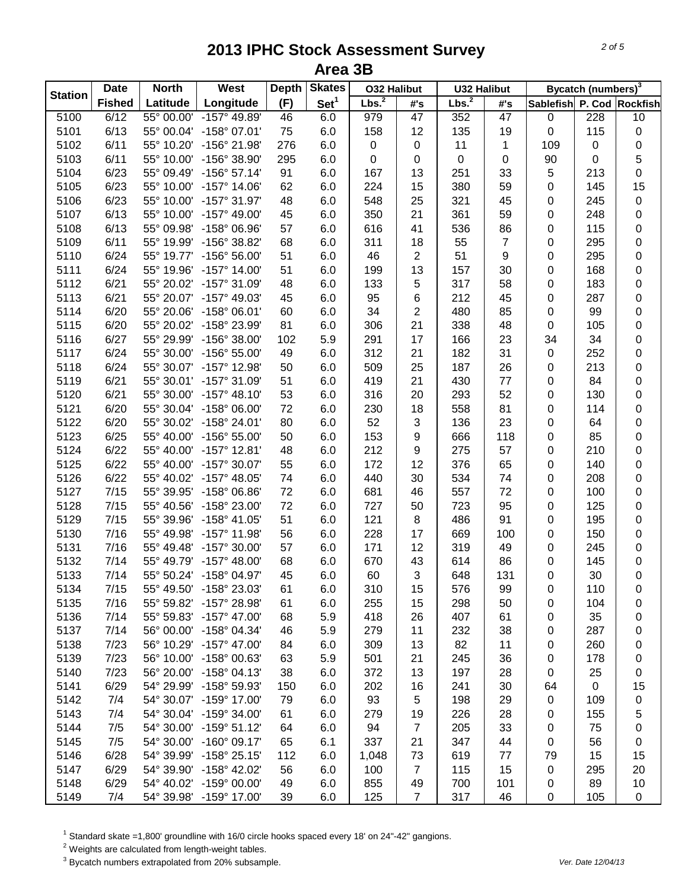| <b>Station</b> | <b>Date</b>   | <b>North</b> | West                    | <b>Depth</b> | <b>Skates</b>    | <b>032 Halibut</b> |                         | <b>U32 Halibut</b> |                  |                  | Bycatch (numbers) <sup>3</sup> |                           |
|----------------|---------------|--------------|-------------------------|--------------|------------------|--------------------|-------------------------|--------------------|------------------|------------------|--------------------------------|---------------------------|
|                | <b>Fished</b> | Latitude     | Longitude               | (F)          | Set <sup>1</sup> | Lbs. <sup>2</sup>  | #'s                     | Lbs. <sup>2</sup>  | #'s              |                  |                                | Sablefish P. Cod Rockfish |
| 5100           | 6/12          | 55° 00.00'   | $-157^\circ 49.89'$     | 46           | 6.0              | 979                | 47                      | 352                | $\overline{47}$  | 0                | 228                            | 10                        |
| 5101           | 6/13          | 55° 00.04'   | $-158^{\circ}$ 07.01'   | 75           | 6.0              | 158                | 12                      | 135                | 19               | 0                | 115                            | $\pmb{0}$                 |
| 5102           | 6/11          | 55° 10.20'   | -156° 21.98'            | 276          | 6.0              | 0                  | $\pmb{0}$               | 11                 | 1                | 109              | 0                              | 0                         |
| 5103           | 6/11          | 55° 10.00'   | -156° 38.90'            | 295          | 6.0              | 0                  | $\pmb{0}$               | 0                  | $\boldsymbol{0}$ | 90               | 0                              | 5                         |
| 5104           | 6/23          | 55° 09.49'   | $-156^{\circ}57.14'$    | 91           | 6.0              | 167                | 13                      | 251                | 33               | 5                | 213                            | 0                         |
| 5105           | 6/23          | 55° 10.00'   | $-157^{\circ}$ 14.06'   | 62           | 6.0              | 224                | 15                      | 380                | 59               | 0                | 145                            | 15                        |
| 5106           | 6/23          | 55° 10.00'   | $-157^{\circ}$ 31.97'   | 48           | 6.0              | 548                | 25                      | 321                | 45               | 0                | 245                            | $\pmb{0}$                 |
| 5107           | 6/13          | 55° 10.00'   | -157° 49.00'            | 45           | 6.0              | 350                | 21                      | 361                | 59               | 0                | 248                            | 0                         |
| 5108           | 6/13          | 55° 09.98'   | -158° 06.96'            | 57           | 6.0              | 616                | 41                      | 536                | 86               | 0                | 115                            | 0                         |
| 5109           | 6/11          | 55° 19.99'   | -156° 38.82'            | 68           | 6.0              | 311                | 18                      | 55                 | $\overline{7}$   | 0                | 295                            | 0                         |
| 5110           | 6/24          | 55° 19.77'   | -156° 56.00'            | 51           | 6.0              | 46                 | $\overline{\mathbf{c}}$ | 51                 | 9                | 0                | 295                            | 0                         |
| 5111           | 6/24          | 55° 19.96'   | $-157^{\circ}$ 14.00    | 51           | 6.0              | 199                | 13                      | 157                | 30               | 0                | 168                            | 0                         |
| 5112           | 6/21          | 55° 20.02'   | -157° 31.09'            | 48           | 6.0              | 133                | 5                       | 317                | 58               | $\pmb{0}$        | 183                            | 0                         |
| 5113           | 6/21          | 55° 20.07'   | -157° 49.03'            | 45           | 6.0              | 95                 | 6                       | 212                | 45               | 0                | 287                            | 0                         |
|                | 6/20          | 55° 20.06'   | $-158^{\circ}$ 06.01'   | 60           |                  | 34                 | $\overline{2}$          |                    |                  | 0                |                                |                           |
| 5114           |               |              |                         |              | 6.0              |                    | 21                      | 480                | 85               |                  | 99                             | 0                         |
| 5115           | 6/20          | 55° 20.02'   | -158° 23.99'            | 81           | 6.0              | 306                |                         | 338                | 48               | 0                | 105                            | 0                         |
| 5116           | 6/27          | 55° 29.99'   | -156° 38.00'            | 102          | 5.9              | 291                | 17                      | 166                | 23               | 34               | 34                             | 0                         |
| 5117           | 6/24          | 55° 30.00'   | $-156^{\circ} 55.00'$   | 49           | 6.0              | 312                | 21                      | 182                | 31               | $\pmb{0}$        | 252                            | 0                         |
| 5118           | 6/24          | 55° 30.07'   | -157° 12.98'            | 50           | 6.0              | 509                | 25                      | 187                | 26               | 0                | 213                            | 0                         |
| 5119           | 6/21          | 55° 30.01'   | -157° 31.09'            | 51           | 6.0              | 419                | 21                      | 430                | 77               | 0                | 84                             | 0                         |
| 5120           | 6/21          | 55° 30.00'   | $-157^{\circ}$ 48.10    | 53           | 6.0              | 316                | 20                      | 293                | 52               | 0                | 130                            | 0                         |
| 5121           | 6/20          | 55° 30.04'   | -158° 06.00'            | 72           | 6.0              | 230                | 18                      | 558                | 81               | 0                | 114                            | 0                         |
| 5122           | 6/20          | 55° 30.02'   | -158° 24.01'            | 80           | 6.0              | 52                 | 3                       | 136                | 23               | 0                | 64                             | 0                         |
| 5123           | 6/25          | 55° 40.00'   | -156° 55.00'            | 50           | 6.0              | 153                | 9                       | 666                | 118              | $\boldsymbol{0}$ | 85                             | 0                         |
| 5124           | 6/22          | 55° 40.00'   | $-157^{\circ}$ 12.81'   | 48           | 6.0              | 212                | 9                       | 275                | 57               | $\boldsymbol{0}$ | 210                            | 0                         |
| 5125           | 6/22          | 55° 40.00'   | $-157^{\circ}$ 30.07'   | 55           | 6.0              | 172                | 12                      | 376                | 65               | $\boldsymbol{0}$ | 140                            | 0                         |
| 5126           | 6/22          | 55° 40.02'   | -157° 48.05'            | 74           | 6.0              | 440                | 30                      | 534                | 74               | 0                | 208                            | 0                         |
| 5127           | 7/15          | 55° 39.95'   | -158° 06.86'            | 72           | 6.0              | 681                | 46                      | 557                | 72               | 0                | 100                            | 0                         |
| 5128           | 7/15          | 55° 40.56'   | -158° 23.00'            | 72           | 6.0              | 727                | 50                      | 723                | 95               | 0                | 125                            | 0                         |
| 5129           | 7/15          | 55° 39.96'   | $-158^{\circ}$ 41.05'   | 51           | 6.0              | 121                | 8                       | 486                | 91               | 0                | 195                            | 0                         |
| 5130           | 7/16          | 55° 49.98'   | -157° 11.98'            | 56           | 6.0              | 228                | 17                      | 669                | 100              | 0                | 150                            | 0                         |
| 5131           | 7/16          | 55° 49.48'   | -157° 30.00'            | 57           | 6.0              | 171                | 12                      | 319                | 49               | 0                | 245                            | 0                         |
| 5132           | 7/14          | 55° 49.79'   | $-157^{\circ}$ 48.00'   | 68           | 6.0              | 670                | 43                      | 614                | 86               | 0                | 145                            | $\pmb{0}$                 |
| 5133           | 7/14          |              | 55° 50.24' -158° 04.97' | 45           | 6.0              | 60                 | $\mathbf{3}$            | 648                | 131              | 0                | 30                             | $\pmb{0}$                 |
| 5134           | 7/15          | 55° 49.50'   | -158° 23.03'            | 61           | 6.0              | 310                | 15                      | 576                | 99               | 0                | 110                            | 0                         |
| 5135           | 7/16          | 55° 59.82'   | -157° 28.98'            | 61           | 6.0              | 255                | 15                      | 298                | 50               | 0                | 104                            | 0                         |
| 5136           | 7/14          | 55° 59.83'   | $-157^{\circ}$ 47.00    | 68           | 5.9              | 418                | 26                      | 407                | 61               | 0                | 35                             | 0                         |
| 5137           | 7/14          | 56° 00.00'   | $-158^{\circ}$ 04.34'   | 46           | 5.9              | 279                | 11                      | 232                | 38               | 0                | 287                            | 0                         |
| 5138           | 7/23          | 56° 10.29'   | $-157^{\circ}$ 47.00    | 84           | 6.0              | 309                | 13                      | 82                 | 11               | 0                | 260                            | 0                         |
| 5139           | 7/23          | 56° 10.00'   | $-158^{\circ}$ 00.63'   | 63           | 5.9              | 501                | 21                      | 245                | 36               | 0                | 178                            | 0                         |
| 5140           | 7/23          | 56° 20.00'   | $-158^{\circ}$ 04.13'   | 38           | 6.0              | 372                | 13                      | 197                | 28               | 0                | 25                             | 0                         |
| 5141           | 6/29          | 54° 29.99'   | -158° 59.93'            | 150          | 6.0              | 202                | 16                      | 241                | 30               | 64               | $\pmb{0}$                      | 15                        |
| 5142           | 7/4           | 54° 30.07'   | -159° 17.00'            | 79           | 6.0              | 93                 | 5                       | 198                | 29               | 0                | 109                            | 0                         |
| 5143           | 7/4           | 54° 30.04'   | $-159^{\circ}$ 34.00    | 61           | 6.0              | 279                | 19                      | 226                | 28               | 0                | 155                            | 5                         |
| 5144           | 7/5           | 54° 30.00'   | $-159°51.12'$           | 64           | 6.0              | 94                 | $\overline{7}$          | 205                | 33               |                  | 75                             |                           |
|                |               | 54° 30.00'   | $-160^{\circ}$ 09.17'   |              |                  | 337                |                         |                    |                  | 0                |                                | 0                         |
| 5145           | 7/5           |              |                         | 65           | 6.1              |                    | 21                      | 347                | 44               | 0                | 56                             | 0                         |
| 5146           | 6/28          | 54° 39.99'   | $-158^{\circ}$ 25.15'   | 112          | 6.0              | 1,048              | 73                      | 619                | 77               | 79               | 15                             | 15                        |
| 5147           | 6/29          | 54° 39.90'   | $-158^{\circ}$ 42.02    | 56           | 6.0              | 100                | 7                       | 115                | 15               | 0                | 295                            | 20                        |
| 5148           | 6/29          | 54° 40.02'   | $-159^{\circ}$ 00.00'   | 49           | 6.0              | 855                | 49                      | 700                | 101              | 0                | 89                             | 10                        |
| 5149           | 7/4           |              | 54° 39.98' -159° 17.00' | 39           | 6.0              | 125                | $\overline{7}$          | 317                | 46               | 0                | 105                            | 0                         |

<sup>1</sup> Standard skate =1,800' groundline with 16/0 circle hooks spaced every 18' on 24"-42" gangions.

 $2$  Weights are calculated from length-weight tables.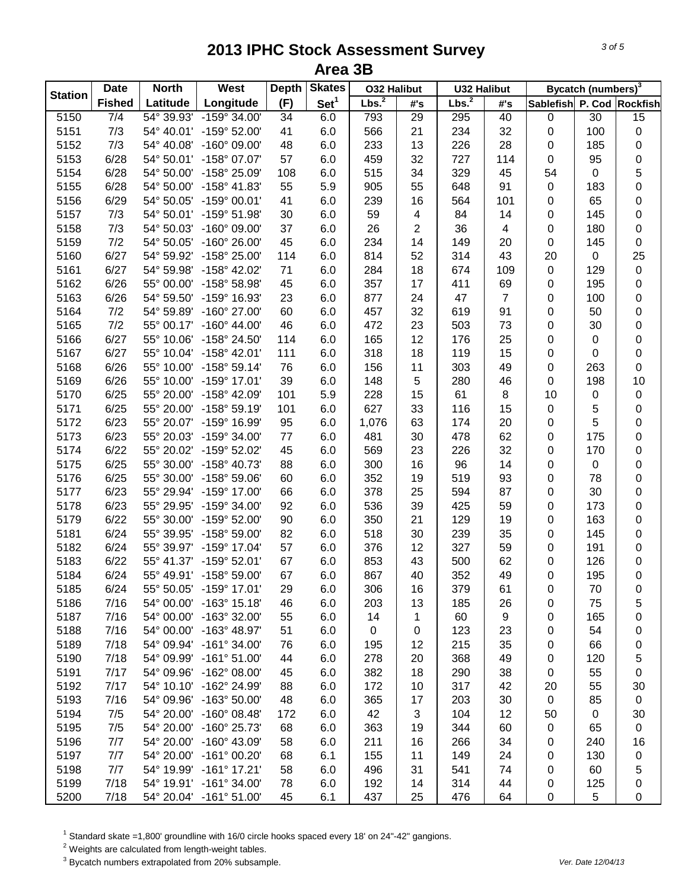| <b>Station</b> | <b>Date</b>   | <b>North</b> | West                    | <b>Depth</b>    | <b>Skates</b>    | <b>032 Halibut</b> |                         | <b>U32 Halibut</b> |                |             | Bycatch (numbers) <sup>3</sup> |                           |
|----------------|---------------|--------------|-------------------------|-----------------|------------------|--------------------|-------------------------|--------------------|----------------|-------------|--------------------------------|---------------------------|
|                | <b>Fished</b> | Latitude     | Longitude               | (F)             | Set <sup>1</sup> | Lbs. <sup>2</sup>  | #'s                     | Lbs. <sup>2</sup>  | #'s            |             |                                | Sablefish P. Cod Rockfish |
| 5150           | 7/4           | 54° 39.93'   | -159° 34.00'            | $\overline{34}$ | 6.0              | 793                | 29                      | 295                | 40             | 0           | 30                             | 15                        |
| 5151           | 7/3           | 54° 40.01'   | -159° 52.00'            | 41              | 6.0              | 566                | 21                      | 234                | 32             | $\mathbf 0$ | 100                            | $\pmb{0}$                 |
| 5152           | 7/3           | 54° 40.08'   | $-160^{\circ}$ 09.00'   | 48              | 6.0              | 233                | 13                      | 226                | 28             | $\pmb{0}$   | 185                            | 0                         |
| 5153           | 6/28          | 54° 50.01'   | -158° 07.07'            | 57              | 6.0              | 459                | 32                      | 727                | 114            | 0           | 95                             | 0                         |
| 5154           | 6/28          | 54° 50.00'   | -158° 25.09'            | 108             | 6.0              | 515                | 34                      | 329                | 45             | 54          | 0                              | 5                         |
| 5155           | 6/28          | 54° 50.00'   | $-158^{\circ}$ 41.83'   | 55              | 5.9              | 905                | 55                      | 648                | 91             | $\pmb{0}$   | 183                            | 0                         |
| 5156           | 6/29          | 54° 50.05'   | $-159^{\circ}$ 00.01'   | 41              | 6.0              | 239                | 16                      | 564                | 101            | 0           | 65                             | 0                         |
| 5157           | 7/3           | 54° 50.01'   | -159° 51.98'            | 30              | 6.0              | 59                 | $\overline{\mathbf{4}}$ | 84                 | 14             | 0           | 145                            | 0                         |
| 5158           | 7/3           | 54° 50.03'   | $-160^{\circ}$ 09.00'   | 37              | 6.0              | 26                 | $\sqrt{2}$              | 36                 | 4              | $\mathbf 0$ | 180                            | $\pmb{0}$                 |
| 5159           | 7/2           | 54° 50.05'   | -160° 26.00'            | 45              | 6.0              | 234                | 14                      | 149                | 20             | $\pmb{0}$   | 145                            | $\pmb{0}$                 |
| 5160           | 6/27          | 54° 59.92'   | -158° 25.00'            | 114             | 6.0              | 814                | 52                      | 314                | 43             | 20          | $\pmb{0}$                      | 25                        |
| 5161           | 6/27          | 54° 59.98'   | -158° 42.02'            | 71              | 6.0              | 284                | 18                      | 674                | 109            | $\mathbf 0$ | 129                            | $\pmb{0}$                 |
| 5162           | 6/26          | 55° 00.00'   | -158° 58.98'            | 45              | 6.0              | 357                | 17                      | 411                | 69             | $\pmb{0}$   | 195                            | 0                         |
| 5163           | 6/26          | 54° 59.50'   | -159° 16.93'            | 23              | 6.0              | 877                | 24                      | 47                 | $\overline{7}$ | $\mathbf 0$ | 100                            | 0                         |
| 5164           | 7/2           | 54° 59.89'   | -160° 27.00'            | 60              | 6.0              | 457                | 32                      | 619                | 91             | 0           | 50                             |                           |
|                |               |              |                         |                 |                  |                    |                         |                    |                |             |                                | 0                         |
| 5165           | 7/2           | 55° 00.17'   | $-160^{\circ}$ 44.00'   | 46              | 6.0              | 472                | 23                      | 503                | 73             | 0           | 30                             | 0                         |
| 5166           | 6/27          | 55° 10.06'   | -158° 24.50'            | 114             | 6.0              | 165                | 12                      | 176                | 25             | 0           | $\pmb{0}$                      | 0                         |
| 5167           | 6/27          | 55° 10.04'   | $-158^{\circ}$ 42.01'   | 111             | 6.0              | 318                | 18                      | 119                | 15             | 0           | $\mathbf 0$                    | 0                         |
| 5168           | 6/26          | 55° 10.00'   | $-158^{\circ} 59.14'$   | 76              | 6.0              | 156                | 11                      | 303                | 49             | 0           | 263                            | 0                         |
| 5169           | 6/26          | 55° 10.00'   | -159° 17.01'            | 39              | 6.0              | 148                | 5                       | 280                | 46             | 0           | 198                            | 10                        |
| 5170           | 6/25          | 55° 20.00'   | -158° 42.09'            | 101             | 5.9              | 228                | 15                      | 61                 | $\bf 8$        | 10          | 0                              | $\pmb{0}$                 |
| 5171           | 6/25          | 55° 20.00'   | $-158^{\circ} 59.19'$   | 101             | 6.0              | 627                | 33                      | 116                | 15             | 0           | 5                              | 0                         |
| 5172           | 6/23          | 55° 20.07'   | -159° 16.99'            | 95              | 6.0              | 1,076              | 63                      | 174                | 20             | 0           | 5                              | 0                         |
| 5173           | 6/23          | 55° 20.03'   | -159° 34.00'            | 77              | 6.0              | 481                | 30                      | 478                | 62             | 0           | 175                            | 0                         |
| 5174           | 6/22          | 55° 20.02'   | -159° 52.02'            | 45              | 6.0              | 569                | 23                      | 226                | 32             | 0           | 170                            | 0                         |
| 5175           | 6/25          | 55° 30.00'   | -158° 40.73'            | 88              | 6.0              | 300                | 16                      | 96                 | 14             | $\pmb{0}$   | $\pmb{0}$                      | 0                         |
| 5176           | 6/25          | 55° 30.00'   | -158° 59.06'            | 60              | 6.0              | 352                | 19                      | 519                | 93             | $\pmb{0}$   | 78                             | 0                         |
| 5177           | 6/23          | 55° 29.94'   | -159° 17.00'            | 66              | 6.0              | 378                | 25                      | 594                | 87             | $\pmb{0}$   | 30                             | 0                         |
| 5178           | 6/23          | 55° 29.95'   | -159° 34.00'            | 92              | 6.0              | 536                | 39                      | 425                | 59             | 0           | 173                            | 0                         |
| 5179           | 6/22          | 55° 30.00'   | -159° 52.00'            | 90              | 6.0              | 350                | 21                      | 129                | 19             | 0           | 163                            | 0                         |
| 5181           | 6/24          | 55° 39.95'   | -158° 59.00'            | 82              | 6.0              | 518                | 30                      | 239                | 35             | 0           | 145                            | 0                         |
| 5182           | 6/24          | 55° 39.97'   | $-159^{\circ}$ 17.04'   | 57              | 6.0              | 376                | 12                      | 327                | 59             | 0           | 191                            | 0                         |
| 5183           | 6/22          | 55° 41.37'   | $-159^{\circ}$ 52.01'   | 67              | 6.0              | 853                | 43                      | 500                | 62             | 0           | 126                            | $\pmb{0}$                 |
| 5184           | 6/24          |              | 55° 49.91' -158° 59.00' | 67              | 6.0              | 867                | 40                      | 352                | 49             | 0           | 195                            | $\mathbf 0$               |
| 5185           | 6/24          | 55° 50.05'   | $-159^{\circ}$ 17.01    | 29              | 6.0              | 306                | 16                      | 379                | 61             | 0           | 70                             | 0                         |
| 5186           | 7/16          | 54° 00.00'   | $-163^\circ$ 15.18'     | 46              | 6.0              | 203                | 13                      | 185                | 26             | 0           | 75                             | 5                         |
| 5187           | 7/16          | 54° 00.00'   | $-163^\circ$ 32.00      | 55              | 6.0              | 14                 | 1                       | 60                 | 9              | 0           | 165                            | 0                         |
| 5188           | 7/16          | 54° 00.00'   | -163° 48.97'            | 51              | 6.0              | 0                  | 0                       | 123                | 23             | 0           | 54                             | 0                         |
| 5189           | 7/18          | 54° 09.94'   | $-161°34.00'$           | 76              | 6.0              | 195                | 12                      | 215                | 35             | 0           | 66                             | 0                         |
| 5190           | 7/18          | 54° 09.99'   | $-161°51.00'$           | 44              | 6.0              | 278                | 20                      | 368                | 49             | 0           | 120                            | 5                         |
| 5191           | 7/17          | 54° 09.96'   | $-162^{\circ}$ 08.00    | 45              | 6.0              | 382                | 18                      | 290                | 38             | $\pmb{0}$   | 55                             |                           |
|                |               |              |                         |                 |                  |                    |                         |                    |                |             |                                | 0                         |
| 5192           | 7/17          | 54° 10.10'   | -162° 24.99'            | 88              | 6.0              | 172                | 10                      | 317                | 42             | 20          | 55                             | 30                        |
| 5193           | 7/16          | 54° 09.96'   | $-163^{\circ} 50.00'$   | 48              | 6.0              | 365                | 17                      | 203                | 30             | $\pmb{0}$   | 85                             | $\pmb{0}$                 |
| 5194           | 7/5           | 54° 20.00'   | $-160^{\circ}$ 08.48'   | 172             | 6.0              | 42                 | 3                       | 104                | 12             | 50          | $\pmb{0}$                      | 30                        |
| 5195           | 7/5           | 54° 20.00'   | -160° 25.73'            | 68              | 6.0              | 363                | 19                      | 344                | 60             | 0           | 65                             | $\mathbf 0$               |
| 5196           | 7/7           | 54° 20.00'   | $-160^{\circ}$ 43.09'   | 58              | 6.0              | 211                | 16                      | 266                | 34             | 0           | 240                            | 16                        |
| 5197           | 7/7           | 54° 20.00'   | $-161^{\circ}$ 00.20    | 68              | 6.1              | 155                | 11                      | 149                | 24             | 0           | 130                            | 0                         |
| 5198           | 7/7           | 54° 19.99'   | $-161°$ 17.21'          | 58              | 6.0              | 496                | 31                      | 541                | 74             | 0           | 60                             | 5                         |
| 5199           | 7/18          | 54° 19.91'   | $-161°34.00'$           | 78              | 6.0              | 192                | 14                      | 314                | 44             | 0           | 125                            | 0                         |
| 5200           | 7/18          |              | 54° 20.04' -161° 51.00' | 45              | 6.1              | 437                | 25                      | 476                | 64             | 0           | 5                              | 0                         |

<sup>1</sup> Standard skate =1,800' groundline with 16/0 circle hooks spaced every 18' on 24"-42" gangions.

 $2$  Weights are calculated from length-weight tables.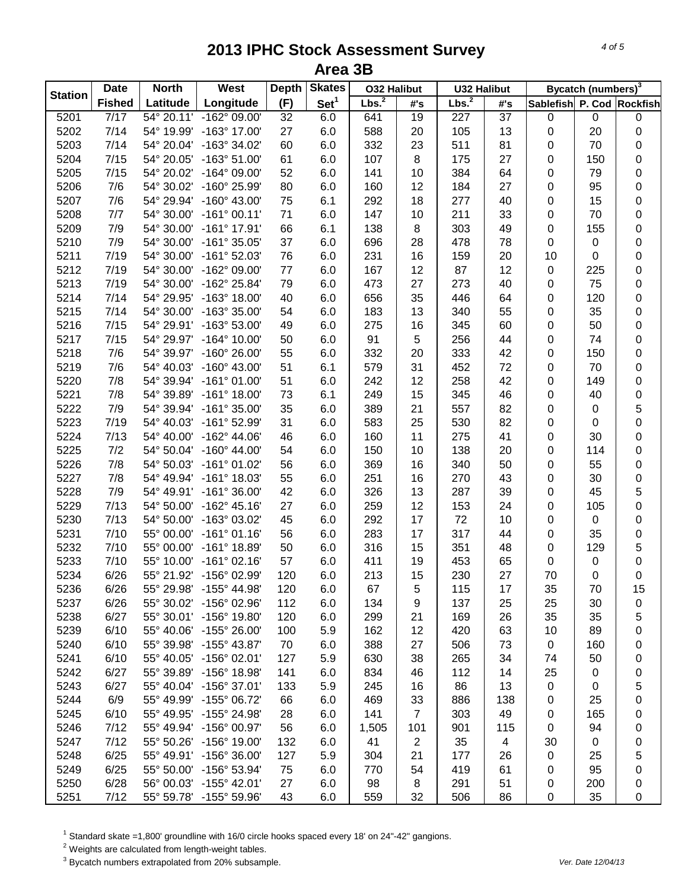| <b>Station</b> | <b>Date</b>       | <b>North</b> | West                    | <b>Depth</b>    | <b>Skates</b>    | <b>032 Halibut</b> |                | <b>U32 Halibut</b> |                 |             | Bycatch (numbers) <sup>3</sup> |                           |
|----------------|-------------------|--------------|-------------------------|-----------------|------------------|--------------------|----------------|--------------------|-----------------|-------------|--------------------------------|---------------------------|
|                | <b>Fished</b>     | Latitude     | Longitude               | (F)             | Set <sup>1</sup> | Lbs. <sup>2</sup>  | #'s            | Lbs. <sup>2</sup>  | #'s             |             |                                | Sablefish P. Cod Rockfish |
| 5201           | $\overline{7/17}$ | 54° 20.11'   | -162° 09.00'            | $\overline{32}$ | 6.0              | 641                | 19             | 227                | $\overline{37}$ | 0           | $\mathbf 0$                    | 0                         |
| 5202           | 7/14              | 54° 19.99'   | -163° 17.00'            | 27              | 6.0              | 588                | 20             | 105                | 13              | $\mathbf 0$ | 20                             | 0                         |
| 5203           | 7/14              | 54° 20.04'   | -163° 34.02'            | 60              | 6.0              | 332                | 23             | 511                | 81              | 0           | 70                             | 0                         |
| 5204           | 7/15              | 54° 20.05'   | $-163^{\circ} 51.00'$   | 61              | 6.0              | 107                | $\,8\,$        | 175                | 27              | 0           | 150                            | 0                         |
| 5205           | 7/15              | 54° 20.02'   | $-164^{\circ}$ 09.00'   | 52              | 6.0              | 141                | 10             | 384                | 64              | 0           | 79                             | 0                         |
| 5206           | 7/6               | 54° 30.02'   | -160° 25.99'            | 80              | 6.0              | 160                | 12             | 184                | 27              | 0           | 95                             | 0                         |
| 5207           | 7/6               | 54° 29.94'   | $-160^{\circ}$ 43.00'   | 75              | 6.1              | 292                | 18             | 277                | 40              | 0           | 15                             | 0                         |
| 5208           | 7/7               | 54° 30.00'   | $-161°00.11'$           | 71              | 6.0              | 147                | 10             | 211                | 33              | $\mathbf 0$ | 70                             | 0                         |
| 5209           | 7/9               | 54° 30.00'   | $-161°$ 17.91'          | 66              | 6.1              | 138                | 8              | 303                | 49              | 0           | 155                            | 0                         |
| 5210           | 7/9               | 54° 30.00'   | $-161°35.05'$           | 37              | 6.0              | 696                | 28             | 478                | 78              | $\pmb{0}$   | $\pmb{0}$                      | 0                         |
| 5211           | 7/19              | 54° 30.00'   | $-161°52.03'$           | 76              | 6.0              | 231                | 16             | 159                | 20              | 10          | 0                              | 0                         |
| 5212           | 7/19              | 54° 30.00'   | -162° 09.00'            | 77              | 6.0              | 167                | 12             | 87                 | 12              | $\mathbf 0$ | 225                            | 0                         |
| 5213           | 7/19              | 54° 30.00'   | -162° 25.84'            | 79              | 6.0              | 473                | 27             | 273                | 40              | 0           | 75                             | 0                         |
| 5214           | 7/14              | 54° 29.95'   | $-163^\circ$ 18.00'     | 40              | 6.0              | 656                | 35             | 446                | 64              | 0           | 120                            | 0                         |
| 5215           | 7/14              | 54° 30.00'   | -163° 35.00'            | 54              | 6.0              | 183                | 13             | 340                | 55              | 0           | 35                             | 0                         |
| 5216           | 7/15              | 54° 29.91'   | -163° 53.00'            | 49              | 6.0              | 275                | 16             | 345                | 60              | 0           | 50                             | 0                         |
| 5217           | 7/15              | 54° 29.97'   | $-164^{\circ}$ 10.00'   | 50              | 6.0              | 91                 | 5              | 256                | 44              | 0           | 74                             |                           |
| 5218           | 7/6               | 54° 39.97'   | $-160^{\circ}$ 26.00    | 55              |                  | 332                | 20             | 333                | 42              | 0           | 150                            | 0                         |
|                |                   |              |                         |                 | 6.0              |                    | 31             |                    |                 |             |                                | 0                         |
| 5219           | 7/6               | 54° 40.03'   | $-160^{\circ}$ 43.00'   | 51              | 6.1              | 579                |                | 452                | 72              | 0           | 70                             | 0                         |
| 5220           | 7/8               | 54° 39.94'   | $-161°01.00'$           | 51              | 6.0              | 242                | 12             | 258                | 42              | 0           | 149                            | 0                         |
| 5221           | 7/8               | 54° 39.89'   | $-161^{\circ}$ 18.00'   | 73              | 6.1              | 249                | 15             | 345                | 46              | 0           | 40                             | 0                         |
| 5222           | 7/9               | 54° 39.94'   | $-161°35.00'$           | 35              | 6.0              | 389                | 21             | 557                | 82              | 0           | $\pmb{0}$                      | 5                         |
| 5223           | 7/19              | 54° 40.03'   | -161° 52.99'            | 31              | 6.0              | 583                | 25             | 530                | 82              | 0           | $\pmb{0}$                      | 0                         |
| 5224           | 7/13              | 54° 40.00'   | -162° 44.06'            | 46              | 6.0              | 160                | 11             | 275                | 41              | 0           | 30                             | 0                         |
| 5225           | 7/2               | 54° 50.04'   | $-160^{\circ}$ 44.00'   | 54              | 6.0              | 150                | 10             | 138                | 20              | 0           | 114                            | 0                         |
| 5226           | 7/8               | 54° 50.03'   | $-161°01.02'$           | 56              | 6.0              | 369                | 16             | 340                | 50              | $\pmb{0}$   | 55                             | 0                         |
| 5227           | 7/8               | 54° 49.94'   | $-161^{\circ}$ 18.03'   | 55              | 6.0              | 251                | 16             | 270                | 43              | $\pmb{0}$   | 30                             | 0                         |
| 5228           | 7/9               | 54° 49.91'   | $-161°36.00'$           | 42              | 6.0              | 326                | 13             | 287                | 39              | 0           | 45                             | 5                         |
| 5229           | 7/13              | 54° 50.00'   | $-162^{\circ}$ 45.16'   | 27              | 6.0              | 259                | 12             | 153                | 24              | 0           | 105                            | 0                         |
| 5230           | 7/13              | 54° 50.00'   | -163° 03.02'            | 45              | 6.0              | 292                | 17             | 72                 | 10              | 0           | $\pmb{0}$                      | 0                         |
| 5231           | 7/10              | 55° 00.00'   | $-161°01.16'$           | 56              | 6.0              | 283                | 17             | 317                | 44              | 0           | 35                             | 0                         |
| 5232           | 7/10              | 55° 00.00'   | -161° 18.89'            | 50              | 6.0              | 316                | 15             | 351                | 48              | 0           | 129                            | 5                         |
| 5233           | 7/10              | 55° 10.00'   | $-161°02.16'$           | 57              | 6.0              | 411                | 19             | 453                | 65              | 0           | $\pmb{0}$                      | 0                         |
| 5234           | 6/26              |              | 55° 21.92' -156° 02.99' | 120             | 6.0              | 213                | 15             | 230                | 27              | 70          | $\pmb{0}$                      | $\mathbf 0$               |
| 5236           | 6/26              | 55° 29.98'   | $-155^{\circ}$ 44.98'   | 120             | 6.0              | 67                 | 5              | 115                | 17              | 35          | 70                             | 15                        |
| 5237           | 6/26              | 55° 30.02'   | $-156^{\circ}$ 02.96'   | 112             | 6.0              | 134                | 9              | 137                | 25              | 25          | 30                             | 0                         |
| 5238           | 6/27              | 55° 30.01'   | -156° 19.80'            | 120             | 6.0              | 299                | 21             | 169                | 26              | 35          | 35                             | 5                         |
| 5239           | 6/10              | 55° 40.06'   | $-155^{\circ}$ 26.00    | 100             | 5.9              | 162                | 12             | 420                | 63              | 10          | 89                             | 0                         |
| 5240           | 6/10              | 55° 39.98'   | -155° 43.87'            | 70              | 6.0              | 388                | 27             | 506                | 73              | $\pmb{0}$   | 160                            | 0                         |
| 5241           | 6/10              | 55° 40.05'   | -156° 02.01'            | 127             | 5.9              | 630                | 38             | 265                | 34              | 74          | 50                             | 0                         |
| 5242           | 6/27              | 55° 39.89'   | -156° 18.98'            | 141             | 6.0              | 834                | 46             | 112                | 14              | 25          | $\pmb{0}$                      | 0                         |
| 5243           | 6/27              | 55° 40.04'   | -156° 37.01'            | 133             | 5.9              | 245                | 16             | 86                 | 13              | $\pmb{0}$   | 0                              | 5                         |
| 5244           | 6/9               | 55° 49.99'   | $-155^{\circ}$ 06.72    | 66              | 6.0              | 469                | 33             | 886                | 138             | 0           | 25                             | 0                         |
| 5245           | 6/10              | 55° 49.95'   | -155° 24.98'            | 28              | 6.0              | 141                | $\overline{7}$ | 303                | 49              | 0           | 165                            | 0                         |
| 5246           | 7/12              | 55° 49.94'   | -156° 00.97'            | 56              | 6.0              | 1,505              | 101            | 901                | 115             | 0           | 94                             | 0                         |
| 5247           | 7/12              | 55° 50.26'   | $-156^{\circ}$ 19.00    | 132             | 6.0              | 41                 | 2              | 35                 | 4               | 30          | $\pmb{0}$                      |                           |
| 5248           | 6/25              | 55° 49.91'   | -156° 36.00'            | 127             | 5.9              | 304                | 21             | 177                | 26              | $\pmb{0}$   | 25                             | 0<br>5                    |
| 5249           | 6/25              | 55° 50.00'   | -156° 53.94'            | 75              | 6.0              | 770                | 54             | 419                | 61              |             | 95                             | 0                         |
|                |                   |              |                         |                 |                  |                    |                |                    |                 | 0           |                                |                           |
| 5250           | 6/28              | 56° 00.03'   | $-155^{\circ}$ 42.01'   | 27              | 6.0              | 98                 | 8              | 291                | 51              | 0           | 200                            | 0                         |
| 5251           | 7/12              |              | 55° 59.78' -155° 59.96' | 43              | 6.0              | 559                | 32             | 506                | 86              | 0           | 35                             | 0                         |

<sup>1</sup> Standard skate =1,800' groundline with 16/0 circle hooks spaced every 18' on 24"-42" gangions.

 $2$  Weights are calculated from length-weight tables.